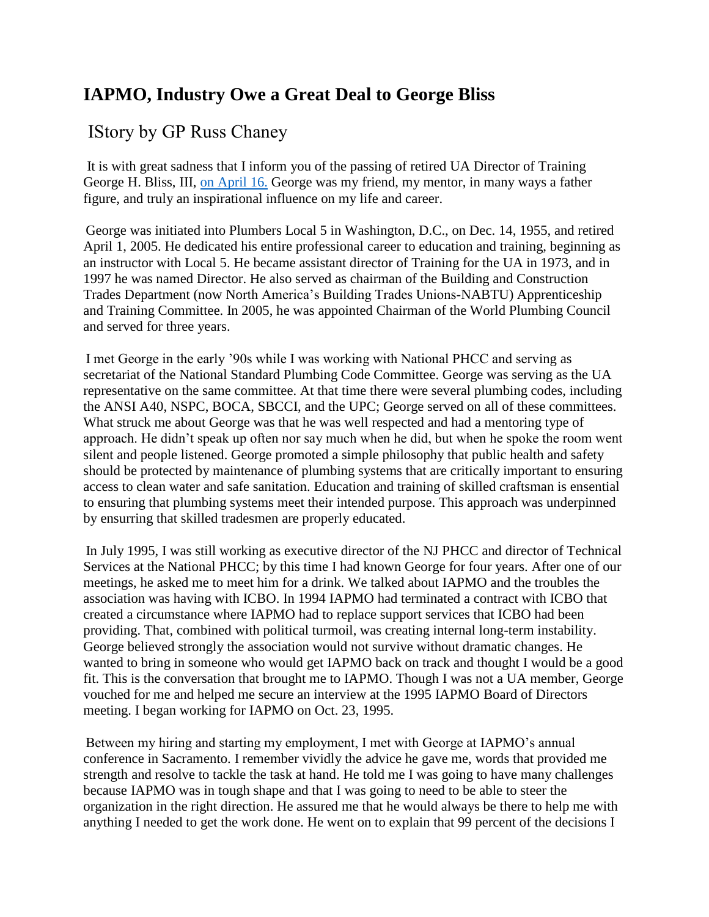## **IAPMO, Industry Owe a Great Deal to George Bliss**

## IStory by GP Russ Chaney

It is with great sadness that I inform you of the passing of retired UA Director of Training George H. Bliss, III, [on April 16.](x-apple-data-detectors://5/) George was my friend, my mentor, in many ways a father figure, and truly an inspirational influence on my life and career.

George was initiated into Plumbers Local 5 in Washington, D.C., on Dec. 14, 1955, and retired April 1, 2005. He dedicated his entire professional career to education and training, beginning as an instructor with Local 5. He became assistant director of Training for the UA in 1973, and in 1997 he was named Director. He also served as chairman of the Building and Construction Trades Department (now North America's Building Trades Unions-NABTU) Apprenticeship and Training Committee. In 2005, he was appointed Chairman of the World Plumbing Council and served for three years.

I met George in the early '90s while I was working with National PHCC and serving as secretariat of the National Standard Plumbing Code Committee. George was serving as the UA representative on the same committee. At that time there were several plumbing codes, including the ANSI A40, NSPC, BOCA, SBCCI, and the UPC; George served on all of these committees. What struck me about George was that he was well respected and had a mentoring type of approach. He didn't speak up often nor say much when he did, but when he spoke the room went silent and people listened. George promoted a simple philosophy that public health and safety should be protected by maintenance of plumbing systems that are critically important to ensuring access to clean water and safe sanitation. Education and training of skilled craftsman is ensential to ensuring that plumbing systems meet their intended purpose. This approach was underpinned by ensurring that skilled tradesmen are properly educated.

In July 1995, I was still working as executive director of the NJ PHCC and director of Technical Services at the National PHCC; by this time I had known George for four years. After one of our meetings, he asked me to meet him for a drink. We talked about IAPMO and the troubles the association was having with ICBO. In 1994 IAPMO had terminated a contract with ICBO that created a circumstance where IAPMO had to replace support services that ICBO had been providing. That, combined with political turmoil, was creating internal long-term instability. George believed strongly the association would not survive without dramatic changes. He wanted to bring in someone who would get IAPMO back on track and thought I would be a good fit. This is the conversation that brought me to IAPMO. Though I was not a UA member, George vouched for me and helped me secure an interview at the 1995 IAPMO Board of Directors meeting. I began working for IAPMO on Oct. 23, 1995.

Between my hiring and starting my employment, I met with George at IAPMO's annual conference in Sacramento. I remember vividly the advice he gave me, words that provided me strength and resolve to tackle the task at hand. He told me I was going to have many challenges because IAPMO was in tough shape and that I was going to need to be able to steer the organization in the right direction. He assured me that he would always be there to help me with anything I needed to get the work done. He went on to explain that 99 percent of the decisions I